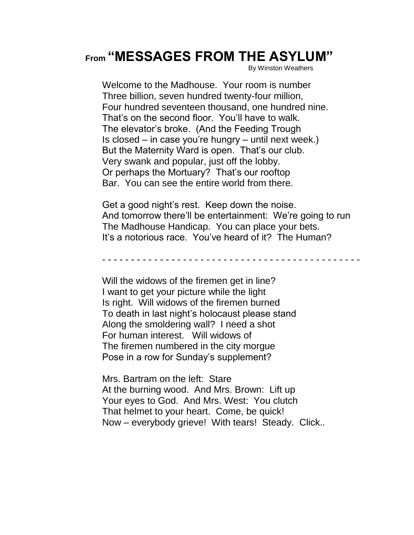## **From "MESSAGES FROM THE ASYLUM"**

By Winston Weathers

Welcome to the Madhouse. Your room is number Three billion, seven hundred twenty-four million, Four hundred seventeen thousand, one hundred nine. That's on the second floor. You'll have to walk. The elevator's broke. (And the Feeding Trough Is closed – in case you're hungry – until next week.) But the Maternity Ward is open. That's our club. Very swank and popular, just off the lobby. Or perhaps the Mortuary? That's our rooftop Bar. You can see the entire world from there.

Get a good night's rest. Keep down the noise. And tomorrow there'll be entertainment: We're going to run The Madhouse Handicap. You can place your bets. It's a notorious race. You've heard of it? The Human?

- - - - - - - - - - - - - - - - - - - - - - - - - - - - - - - - - - - - - - - - - - - - -

Will the widows of the firemen get in line? I want to get your picture while the light Is right. Will widows of the firemen burned To death in last night's holocaust please stand Along the smoldering wall? I need a shot For human interest. Will widows of The firemen numbered in the city morgue Pose in a row for Sunday's supplement?

Mrs. Bartram on the left: Stare At the burning wood. And Mrs. Brown: Lift up Your eyes to God. And Mrs. West: You clutch That helmet to your heart. Come, be quick! Now – everybody grieve! With tears! Steady. Click..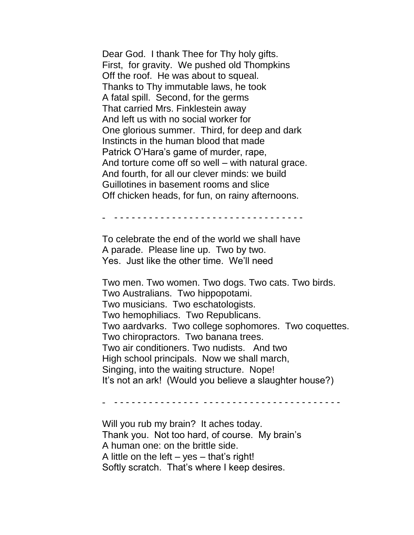Dear God. I thank Thee for Thy holy gifts. First, for gravity. We pushed old Thompkins Off the roof. He was about to squeal. Thanks to Thy immutable laws, he took A fatal spill. Second, for the germs That carried Mrs. Finklestein away And left us with no social worker for One glorious summer. Third, for deep and dark Instincts in the human blood that made Patrick O'Hara's game of murder, rape, And torture come off so well – with natural grace. And fourth, for all our clever minds: we build Guillotines in basement rooms and slice Off chicken heads, for fun, on rainy afternoons.

- - - - - - - - - - - - - - - - - - - - - - - - - - - - - - - - - -

To celebrate the end of the world we shall have A parade. Please line up. Two by two. Yes. Just like the other time. We'll need

Two men. Two women. Two dogs. Two cats. Two birds. Two Australians. Two hippopotami. Two musicians. Two eschatologists. Two hemophiliacs. Two Republicans. Two aardvarks. Two college sophomores. Two coquettes. Two chiropractors. Two banana trees. Two air conditioners. Two nudists. And two High school principals. Now we shall march, Singing, into the waiting structure. Nope! It's not an ark! (Would you believe a slaughter house?)

- - - - - - - - - - - - - - - - - - - - - - - - - - - - - - - - - - - - - - - -

Will you rub my brain? It aches today. Thank you. Not too hard, of course. My brain's A human one: on the brittle side. A little on the left  $-$  yes  $-$  that's right! Softly scratch. That's where I keep desires.